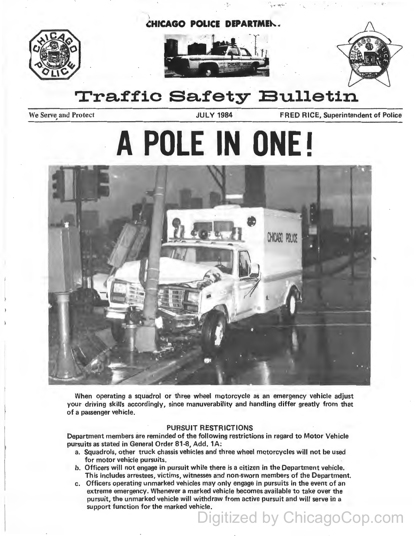







# **Traffic Safety Bulletin**

We Serve and Protect JULY 1984 FRED RICE, Superintendent of Police

# **A POLE IN ONE!**



When operating a squadrol or three wheel motorcycle as an emergency vehicle adjust your driving skills accordingly, since manuverability and handling differ greatly from that of a passenger vehicle.

#### PURSUIT RESTRICTIONS

Department members are reminded of the following restrictions in regard to Motor Vehicle pursuits as stated in General Order 81-8, Add, 1A:

- a. Squadrols, other truck chassis vehicles and three wheel motorcycles will not be used for motor vehicle pursuits.
- b. Officers will not engage in pursuit while there is a citizen in the Department vehicle. This includes arrestees, victims, witnesses and non-sworn members of the Department.
- c. Officers operating unmarked vehicles may only engage in pursuits in the event of an extreme emergency. Whenever a marked vehicle becomes available to take over the pursuit, the unmarked vehicle will withdraw from active pursuit and will serve in a support function for the marked vehicle.

Digitized by ChicagoCop.com